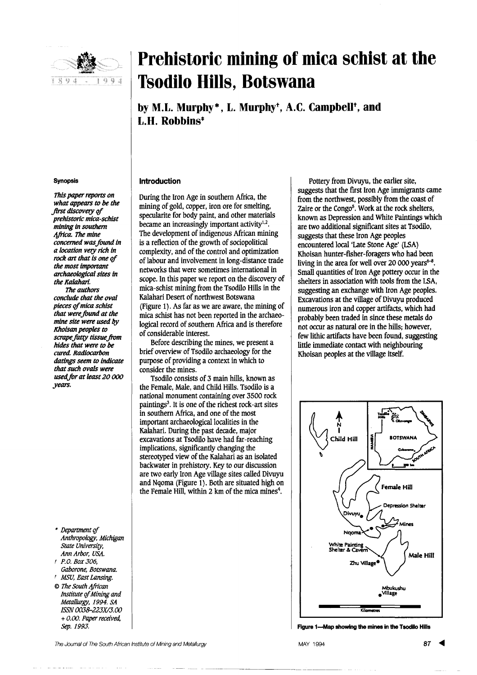

# **Prehistoric mining of mica schist at the Tsodilo Hills, Botswana**

by M.L. Murphy<sup>\*</sup>. L. Murphy<sup>†</sup>, A.C. Campbell<sup>†</sup>, and L.H. Robbins<sup>\*</sup>

### Synopsis

This *paper reports on what appears to be the* first discovery of *prehistoric mica-schist mining in southern 4frica. The mine concerned was found in a location very rich in rock* art that is one of *the most important archaeological sites in the Kalahari. The authors conclude that the oval pieces Q/mica schist that were found at the mine site were used by Khoisan peoples to scrape.fattY tissue.from hides that were to be cured. Radiocarbon datings seem to indicate that such ovals were*

*usedfor at least 20 000*

*years.*

- \* Department of *Anthropology. Michigan State University, Ann Arbor, USA.*
- *t p.a. Box 306, Gaborone, Botswana.*
- *t MSu, East Lansing.* @ *The SOuth 4frican*
- *Institute qf Mining and Metallurgy,* 1994. *SA ISSN 0038-223X/3.00* + *0.00. Paper received, Sep.* 1993.

### Introduction

During the Iron Age in southern Africa, the mining of gold, copper, iron ore for smelting, specularite for body paint, and other materials became an increasingly important activity<sup>1,2</sup>. The development of indigenous African mining is a reflection of the growth of sociopolitical complexity, and of the control and optimization of labour and involvement in long-distance trade networks that were sometimes international in scope. In this paper we report on the discovery of mica-schist mining from the Tsodilo Hills in the Kalahari Desert of northwest Botswana (Figure 1). As far as we are aware, the mining of mica schist has not been reported in the archaeological record of southern Africa and is therefore of considerable interest.

Before describing the mines, we present a brief overview of Tsodilo archaeology for the purpose of providing a context in which to consider the mines.

Tsodilo consists of 3 main hills, known as the Female, Male, and Child Hills. Tsodilo is a national monument containing over 3500 rock paintings $3$ . It is one of the richest rock-art sites in southern Africa, and one of the most important archaeological localities in the Kalahari. During the past decade, major excavations at Tsodilo have had far-reaching implications, significantly changing the stereotyped view of the Kalahari as an isolated backwater in prehistory. Key to our discussion are two early Iron Age village sites called Divuyu and Nqoma (Figure 1). Both are situated high on the Female Hill, within 2 km of the mica mines<sup>4</sup>.

Pottery from Divuyu, the earlier site, suggests that the first Iron Age immigrants came from the northwest, possibly from the coast of Zaire or the Congo<sup>5</sup>. Work at the rock shelters, known as Depression and White Paintings which are two additional significant sites at Tsodilo, suggests that these Iron Age peoples encountered local 'Late Stone Age' (LSA) Khoisan hunter-fisher-foragers who had been living in the area for well over 20 000 years<sup> $6-8$ </sup>. Small quantities of Iron Age pottery occur in the shelters in association with tools from the LSA, suggesting an exchange with Iron Age peoples. Excavations at the village of Divuyu produced numerous iron and copper artifacts, which had probably been traded in since these metals do not occur as natural ore in the hills; however, few lithic artifacts have been found, suggesting little immediate contact with neighbouring Khoisan peoples at the village itself.



Figure 1-Map showing the mines in the Tsodilo Hills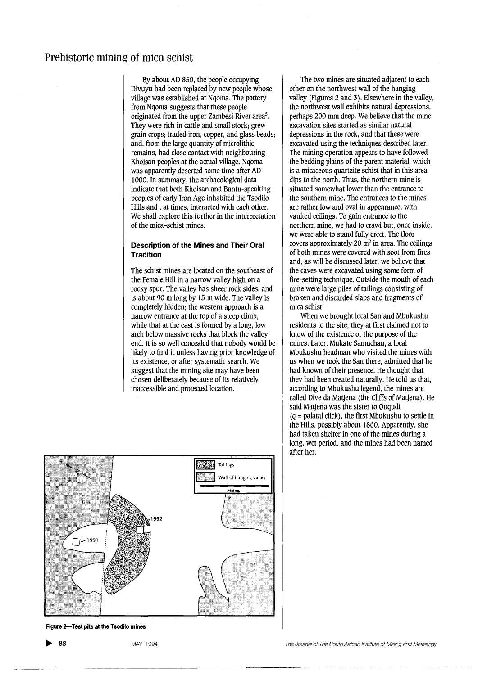ByaboutAD 850, the people occupying Divuyu had been replaced by new people whose village was established at Nqoma. The pottery from Nqoma suggests that these people originated from the upper Zambesi River area<sup>5</sup>. They were rich in cattle and small stock; grew grain crops; traded iron, copper, and glass beads; and, from the large quantity of microlithic remains, had close contact with neighbouring Khoisan peoples at the actual village. Nqoma was apparently deserted some time after AD 1000. In summary, the archaeological data indicate that both Khoisan and Bantu-speaking peoples of early Iron Age inhabited the Tsodilo Hills and, at times, interacted with each other. We shall explore this further in the interpretation of the mica-schist mines.

## Description of the Mines and Their Oral **Tradition**

The schist mines are located on the southeast of the Female Hill in a narrow valley high on a rocky spur. The valley has sheer rock sides, and is about 90 mlong by 15 m wide. The valley is completely hidden; the western approach is a narrow entrance at the top of a steep climb, while that at the east is formed by a long, low arch below massive rocks that block the valley end. It is so well concealed that nobody would be likely to find it unless having prior knowledge of its existence, or after systematic search. We suggest that the mining site may have been chosen deliberately because of its relatively inaccessible and protected location.



Figure 2-Test pits at the Tsodilo mines

The two mines are situated adjacent to each other on the northwest wall of the hanging valley (Figures 2 and 3). Elsewhere in the valley, the northwest wall exhibits natural depressions, perhaps 200 mmdeep. We believe that the mine excavation sites started as similar natural depressions in the rock, and that these were excavated using the techniques described later. The mining operation appears to have followed the bedding plains of the parent material. which is a micaceous quartzite schist that in this area dips to the north. Thus, the northern mine is situated somewhat lower than the entrance to the southern mine. The entrances to the mines are rather low and oval in appearance, with vaulted ceilings. To gain entrance to the northern mine, we had to crawl but, once inside, we were able to stand fully erect. The floor covers approximately 20  $\text{m}^2$  in area. The ceilings of both mines were covered with soot from fires and, as will be discussed later, we believe that the caves were excavated using some form of fire-setting technique. Outside the mouth of each mine were large piles of tailings consisting of broken and discarded slabs and fragments of mica schist.

When we brought local San and Mbukushu residents to the site, they at first claimed not to know of the existence or the purpose of the mines. Later, Mukate Samuchau, a local Mbukushu headman who visited the mines with us when we took the San there, admitted that he had known of their presence. He thought that they had been created naturally. He told us that, according to Mbukushu legend, the mines are called Dive da Matjena (the Cliffs of Matjena). He said Matjena was the sister to Ququdi  $(q = palatal click)$ , the first Mbukushu to settle in the Hills, possibly about 1860. Apparently, she had taken shelter in one of the mines during a long, wet period, and the mines had been named after her.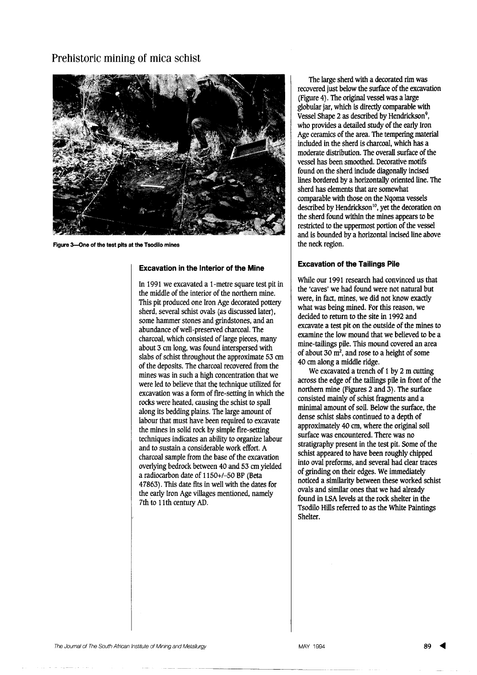

Figure 3-One of the test pits at the Tsodilo mines

# **Excavation in the Interior of the Mine**

In 1991 we excavated a 1-metre square test pit in the middle of the interior of the northern mine. This pit produced one Iron Age decorated pottery sherd, several schist ovals (as discussed later), some hammer stones and grindstones, and an abundance of well-preserved charcoal. The charcoal, which consisted of large pieces, many about 3 cm long, was found interspersed with slabs of schist throughout the approximate 53 cm of the deposits. The charcoal recovered from the mines was in such a high concentration that we were led to believe that the technique utilized for excavation was a form of fire-setting in which the rocks were heated, causing the schist to spall along its bedding plains. The large amount of labour that must have been required to excavate the mines in solid rock by simple fire-setting techniques indicates an ability to organize labour and to sustain a considerable work effort. A charcoal sample from the base of the excavation overlying bedrock between 40 and 53 cm yielded a radiocarbon date of 1150+/-50 BP (Beta 47863). This date fits in well with the dates for the early Iron Age villages mentioned, namely 7th to 11th century AD.

The large sherd with a decorated rim was recovered just below the surface of the excavation (Figure 4). The original vessel was a large globular jar, which is directly comparable with Vessel Shape 2 as described by Hendrickson<sup>9</sup>, who provides a detailed study of the early Iron Age ceramics of the area. The tempering material included in the sherd is charcoal, which has a moderate distribution. The overall surface of the vessel has been smoothed. Decorative motifs found on the sherd include diagonally incised lines bordered by a horizontally oriented line. The sherd has elements that are somewhat comparable with those on the Ngoma vessels described by Hendrickson<sup>10</sup>, yet the decoration on the sherd found within the mines appears to be restricted to the uppermost portion of the vessel and is bounded by a horizontal incised line above the neck region.

# **Excavation of the Tailings Pile**

While our 1991 research had convinced us that the 'caves' we had found were not natural but were, in fact, mines, we did not know exactly what was being mined. For this reason, we decided to return to the site in 1992 and excavate a test pit on the outside of the mines to examine the low mound that we believed to be a mine-tailings pile. This mound covered an area of about 30  $\text{m}^2$ , and rose to a height of some 40 cm along a middle ridge.

We excavated a trench of 1 by 2 m cutting across the edge of the tailings pile in front of the northern mine (Figures 2 and 3). The surface consisted mainly of schist fragments and a minimal amount of soil. Below the surface, the dense schist slabs continued to a depth of approximately 40 cm, where the original soil surface was encountered. There was no stratigraphy present in the test pit. Some of the schist appeared to have been roughly chipped into oval preforms, and several had clear traces of grinding on their edges. We immediately noticed a similarity between these worked schist ovals and similar ones that we had already found in LSA levels at the rock shelter in the Tsodilo Hills referred to as the White Paintings Shelter.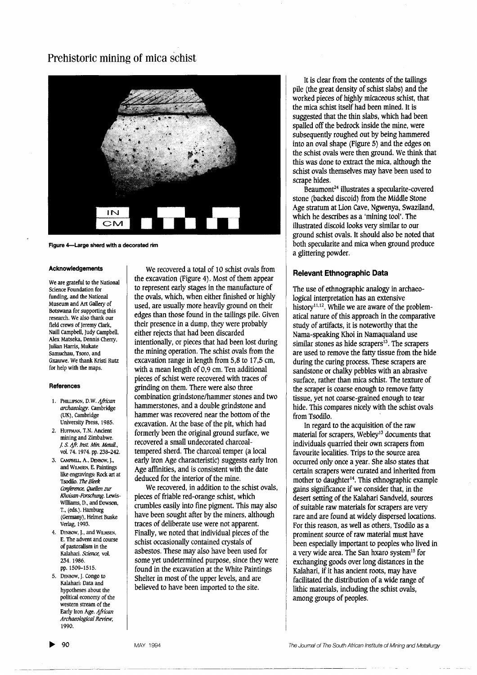

Figure 4-Large sherd with a decorated rim

#### Acknowledgements

We are grateful to the National Science Foundation for funding, and the National Museum and Art Gallery of Botswana for supporting this research. We also thank our field crews of Jeremy Clark, Naill Campbell, Judy Campbell, AIex Matseka, Dennis Cherry, Julian Harris, Mukate Samuchau, Tsoro, and Gxauwe. We thank Kristi Rutz for help with the maps.

#### **References**

- 1. PHILLIPSON, D.W. *4frican archaeology.* Cambridge (UK), Cambridge University Press, 1985.
- 2. HUFFMAN, T.N. Ancient mining and Zimbabwe. /. S. *4fr. Inst. Min. MetaU.,* vol. 74. 1974. pp. 238-242.
- 3. CAMPBElL, A., DENBOW, J., and WILMSEN, E. Paintings like engravings: Rock art at TsodiIo. *The Bleek* Conference, Quellen zur Khoisan-Forschung. Lewis-Williams, D., and Dowson, T., (eds.). Hamburg (Germany), Helmet Buske Verlag, 1993.
- 4. DENBOW, J., and WILMSEN, E. The advent and course of pastoralism in the Kalahari. *Science*, vol. 234. 1986. pp. 1509-1515.
- 5. DENBOW,J. Congo to Kalahari: Data and hypotheses about the political economy of the western stream of the Early Iron Age. African *Archaeological Review,* 1990.

We recovered a total of 10 schist ovals from the excavation (Figure 4). Most of them appear to represent early stages in the manufacture of the ovals, which, when either finished or highly used, are usually more heavily ground on their edges than those found in the tailings pile. Given their presence in a dump, they were probably either rejects that had been discarded intentionally, or pieces that had been lost during the mining operation. The schist ovals from the excavation range in length from 5,8 to 17,5 cm, with a mean length of 0,9 cm. Ten additional pieces of schist were recovered with traces of grinding on them. There were also three combination grindstone/hammer stones and two hammerstones, and a double grindstone and hammer was recovered near the bottom of the excavation. At the base of the pit, which had formerly been the original ground surface, we recovered a small undecorated charcoaltempered sherd. The charcoal temper (a local early Iron Age characteristic) suggests early Iron Age affinities, and is consistent with the date deduced for the interior of the mine.

We recovered, in addition to the schist ovals, pieces of friable red-orange schist, which crumbles easily into fine pigment. This may also have been sought after by the miners, although traces of deliberate use were not apparent. Finally, we noted that individual pieces of the schist occasionally contained crystals of asbestos. These may also have been used for some yet undetermined purpose, since they were found in the excavation at the White Paintings Shelter in most of the upper levels, and are believed to have been imported to the site.

It is clear from the contents of the tailings pile (the great density of schist slabs) and the worked pieces of highly micaceous schist, that the mica schist itself had been mined. It is suggested that the thin slabs, which had been spalled off the bedrock inside the mine, were subsequently roughed out by being hammered into an oval shape (Figure 5) and the edges on the schist ovalswere then ground. We think that this was done to extract the mica, although the schist ovals themselves may have been used to scrape hides.

Beaumont24 illustrates a specularite-covered stone (backed discoid) from the Middle Stone Age stratum at Lion Cave, Ngwenya, Swaziland, which he describes as a 'mining tool'. The illustrated discoid looks very similar to our ground schist ovals. It should also be noted that both specularite and mica when ground produce a glittering powder.

## **Relevant Ethnographic Data**

The use of ethnographic analogy in archaeological interpretation has an extensive history<sup>11,12</sup>. While we are aware of the problematical nature of this approach in the comparative study of artifacts, it is noteworthy that the Nama-speaking Khoi in Namaqualand use similar stones as hide scrapers<sup>13</sup>. The scrapers are used to remove the fatty tissue from the hide during the curing process. These scrapers are sandstone or chalky pebbles with an abrasive surface, rather than mica schist. The texture of the scraper is coarse enough to remove fatty tissue, yet not coarse-grained enough to tear hide. This compares nicely with the schist ovals from Tsodilo.

In regard to the acquisition of the raw material for scrapers, Webley<sup>13</sup> documents that individuals quarried their own scrapers from favourite localities. Trips to the source area occurred only once a year. She also states that certain scrapers were curated and inherited from mother to daughter<sup>14</sup>. This ethnographic example gains significance if we consider that, in the desert setting of the Kalahari Sandveld, sources of suitable raw materials for scrapers are very rare and are found at widely dispersed locations. For this reason, as well as others, Tsodilo as a prominent source of raw material must have been especially important to peoples who lived in a very wide area. The San hxaro system <sup>15</sup> for exchanging goods over long distances in the Kalahari, if it has ancient roots, may have facilitated the distribution of a wide range of lithic materials, including the schist ovals, among groups of peoples.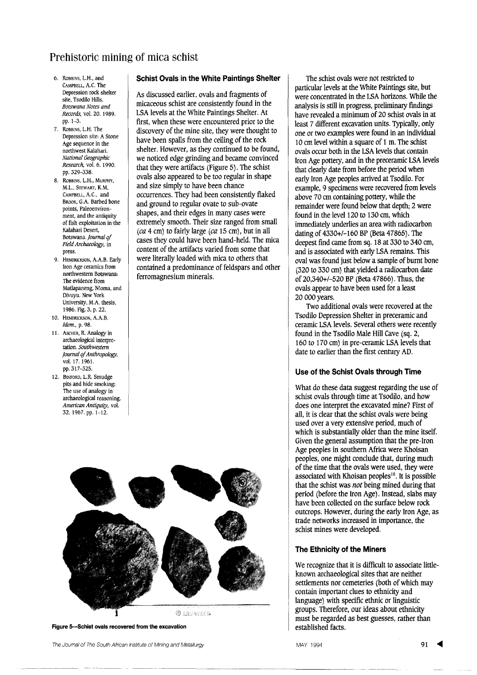- 6. RoBBINS,LH., and CAMPBELL,A.C. The Depression rock shelter site, Tsodilo Hills. *Botswana Notes and Records.* vo!. 20. 1989. pp.I-3.
- 7. RoBBINS,LH. The Depression site: A Stone Age sequence in the northwest Kalahari. *National Geographic Research.* vo!. 6. 1990. pp. 329-338.
- 8. ROBBINS, L.H., MURPHY, M.L. STEWART, K.M, CAMPBELL, A.C., and BROOK, G.A. Barbed bone points, Paleoenvironment, and the antiquity of fish exploitation in the Kalahari Desert, Botswana. *Journal* of *Field Archaeology.* in press.
- 9. HENDRlCKSON, A.A.B. Early Iron Age ceramics from northwestern Botswana: The evidence from Matlapaneng, N!oma, and Divuyu. New York University, M.A. thesis, 1986. Fig. 3, p. 22.
- 10. HENDRICKSON, A.A.B. *Idem..* p. 98.
- 11. Ascher, R. Analogy in archaeological interpretation. *Southwestern journal if Anthropology.* vo!. 17. 1961. pp. 317-325.
- 12. BINFORD, L.R. Smudge pits and hide smoking: The use of analogy in archaeological reasoning. *American Antiquity,* vo!. 32.1967. pp. 1-12.

# **Schist Ovals in the White Paintings Shelter**

As discussed earlier, ovals and fragments of micaceous schist are consistently found in the LSA levels at the White Paintings Shelter. At first, when these were encountered prior to the discovery of the mine site, they were thought to have been spalls from the ceiling of the rock shelter. However, as they continued to be found, we noticed edge grinding and became convinced that they were artifacts (Figure 5). The schist ovals also appeared to be too regular in shape and size simply to have been chance occurrences. They had been consistently flaked and ground to regular ovate to sub-ovate shapes, and their edges in many cases were extremely smooth. Their size ranged from small *(ca* 4 cm) to fairly large *(ca* 15 cm), but in all cases they could have been hand-held. The mica content of the artifacts varied from some that were literally loaded with mica to others that contained a predominance of feldspars and other ferromagnesium minerals.



Figure 5-Schist ovals recovered from the excavation

The Joumal of The South African Institute of Mining and Metallurgy

particular levels at the White Paintings site, but were concentrated in the LSA horizons. While the analysis is still in progress, preliminary findings have revealed a minimum of 20 schist ovals in at least 7 different excavation units. Typically, only one or two examples were found in an individual 10 cm level within a square of 1 m. The schist ovals occur both in the LSA levels that contain Iron Age pottery, and in the preceramic LSA levels that clearly date from before the period when early Iron Age peoples arrived at Tsodilo. For example, 9 specimens were recovered from levels above 70 cm containing pottery, while the remainder were found below that depth; <sup>2</sup> were found in the level 120 to 130 cm, which immediately underlies an area with radiocarbon dating of 4330+/-160 BP (Beta 47865). The deepest fmd came from sq. 18 at 330 to 340 cm, and is associated with early LSA remains. This oval was found just below a sample of burnt bone (320 to 330 cm) that yielded a radiocarbon date of 20,340+/-520 BP (Beta 47866). Thus, the ovals appear to have been used for a least 20 000 years.

The schist ovals were not restricted to

Two additional ovals were recovered at the Tsodilo Depression Shelter in preceramic and ceramic LSA levels. Several others were recently found in the Tsodilo Male Hill Cave (sq. 2, 160 to 170 cm) in pre-ceramic LSA levels that date to earlier than the first century AD.

## **Use of the Schist Ovals through Time**

What do these data suggest regarding the use of schist ovals through time at Tsodilo, and how does one interpret the excavated mine? First of all, it is clear that the schist ovals were being used over a very extensive period, much of which is substantially older than the mine itself. Given the general assumption that the pre-Iron Age peoples in southern Africa were Khoisan peoples, one might conclude that, during much of the time that the ovals were used, they were associated with Khoisan peoples<sup>16</sup>. It is possible that the schist was *not* being mined during that period (before the Iron Age). Instead, slabs may have been collected on the surface below rock outcrops. However, during the early Iron Age, as trade networks increased in importance, the schist mines were developed.

## **The Ethnicity of the Miners**

We recognize that it is difficult to associate littleknown archaeological sites that are neither settlements nor cemeteries (both of which may contain important clues to ethnicity and language) with specific ethnic or linguistic groups. Therefore, our ideas about ethnicity must be regarded as best guesses, rather than established facts.